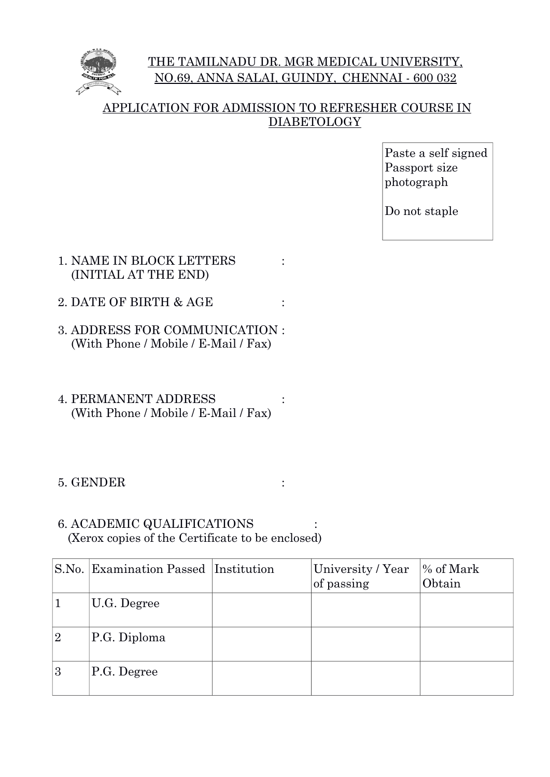

# THE TAMILNADU DR. MGR MEDICAL UNIVERSITY, NO.69, ANNA SALAI, GUINDY, CHENNAI - 600 032

## APPLICATION FOR ADMISSION TO REFRESHER COURSE IN **DIABETOLOGY**

Paste a self signed Passport size photograph

Do not staple

- 1. NAME IN BLOCK LETTERS (INITIAL AT THE END)
- 2. DATE OF BIRTH & AGE :
- 3. ADDRESS FOR COMMUNICATION : (With Phone / Mobile / E-Mail / Fax)
- 4. PERMANENT ADDRESS : (With Phone / Mobile / E-Mail / Fax)
- 5. GENDER :
- 6. ACADEMIC QUALIFICATIONS (Xerox copies of the Certificate to be enclosed)

|   | S.No. Examination Passed Institution | University / Year<br>of passing | % of Mark<br>Obtain |
|---|--------------------------------------|---------------------------------|---------------------|
|   | U.G. Degree                          |                                 |                     |
| 2 | P.G. Diploma                         |                                 |                     |
| 3 | P.G. Degree                          |                                 |                     |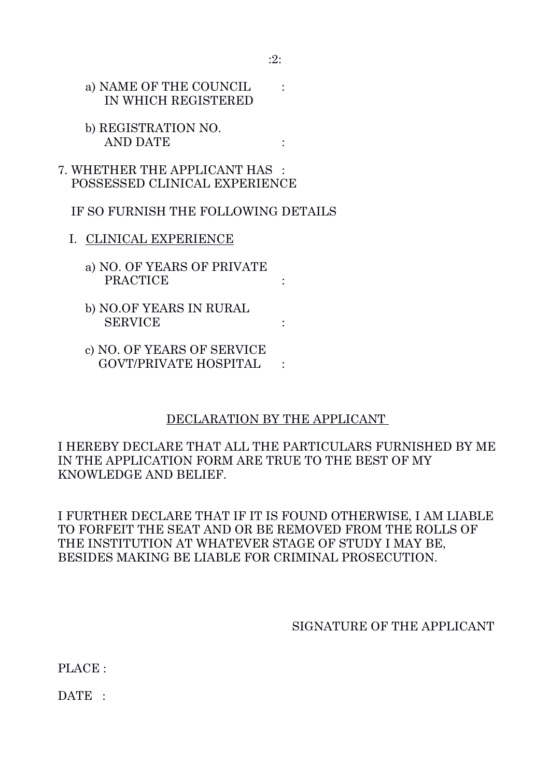a) NAME OF THE COUNCIL : IN WHICH REGISTERED

- b) REGISTRATION NO. AND DATE :
- 7. WHETHER THE APPLICANT HAS : POSSESSED CLINICAL EXPERIENCE

IF SO FURNISH THE FOLLOWING DETAILS

- I. CLINICAL EXPERIENCE
	- a) NO. OF YEARS OF PRIVATE PRACTICE :
	- b) NO.OF YEARS IN RURAL SERVICE :
	- c) NO. OF YEARS OF SERVICE GOVT/PRIVATE HOSPITAL :

### DECLARATION BY THE APPLICANT

I HEREBY DECLARE THAT ALL THE PARTICULARS FURNISHED BY ME IN THE APPLICATION FORM ARE TRUE TO THE BEST OF MY KNOWLEDGE AND BELIEF.

I FURTHER DECLARE THAT IF IT IS FOUND OTHERWISE, I AM LIABLE TO FORFEIT THE SEAT AND OR BE REMOVED FROM THE ROLLS OF THE INSTITUTION AT WHATEVER STAGE OF STUDY I MAY BE, BESIDES MAKING BE LIABLE FOR CRIMINAL PROSECUTION.

### SIGNATURE OF THE APPLICANT

PLACE :

DATE :